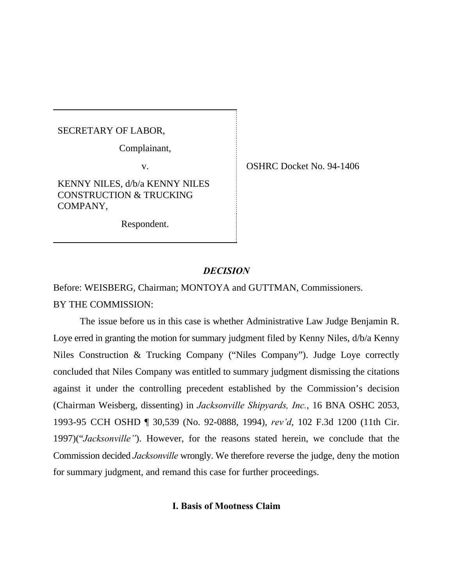SECRETARY OF LABOR,

Complainant,

KENNY NILES, d/b/a KENNY NILES CONSTRUCTION & TRUCKING COMPANY,

Respondent.

v. SHRC Docket No. 94-1406

## *DECISION*

Before: WEISBERG, Chairman; MONTOYA and GUTTMAN, Commissioners. BY THE COMMISSION:

The issue before us in this case is whether Administrative Law Judge Benjamin R. Loye erred in granting the motion for summary judgment filed by Kenny Niles, d/b/a Kenny Niles Construction & Trucking Company ("Niles Company"). Judge Loye correctly concluded that Niles Company was entitled to summary judgment dismissing the citations against it under the controlling precedent established by the Commission's decision (Chairman Weisberg, dissenting) in *Jacksonville Shipyards, Inc.*, 16 BNA OSHC 2053, 1993-95 CCH OSHD ¶ 30,539 (No. 92-0888, 1994), *rev'd*, 102 F.3d 1200 (11th Cir. 1997)("*Jacksonville"*). However, for the reasons stated herein, we conclude that the Commission decided *Jacksonville* wrongly. We therefore reverse the judge, deny the motion for summary judgment, and remand this case for further proceedings.

## **I. Basis of Mootness Claim**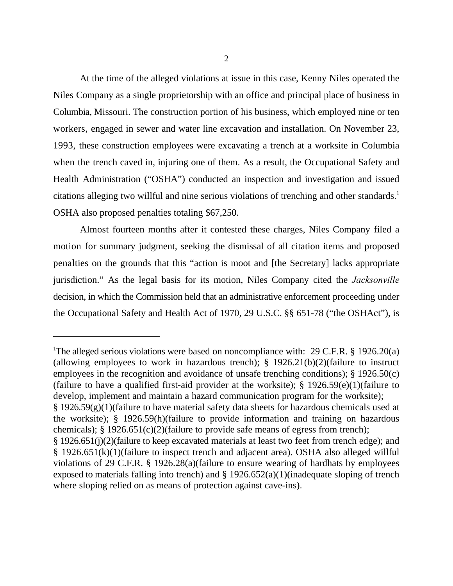At the time of the alleged violations at issue in this case, Kenny Niles operated the Niles Company as a single proprietorship with an office and principal place of business in Columbia, Missouri. The construction portion of his business, which employed nine or ten workers, engaged in sewer and water line excavation and installation. On November 23, 1993, these construction employees were excavating a trench at a worksite in Columbia when the trench caved in, injuring one of them. As a result, the Occupational Safety and Health Administration ("OSHA") conducted an inspection and investigation and issued citations alleging two willful and nine serious violations of trenching and other standards.<sup>1</sup> OSHA also proposed penalties totaling \$67,250.

Almost fourteen months after it contested these charges, Niles Company filed a motion for summary judgment, seeking the dismissal of all citation items and proposed penalties on the grounds that this "action is moot and [the Secretary] lacks appropriate jurisdiction." As the legal basis for its motion, Niles Company cited the *Jacksonville* decision, in which the Commission held that an administrative enforcement proceeding under the Occupational Safety and Health Act of 1970, 29 U.S.C. §§ 651-78 ("the OSHAct"), is

<sup>&</sup>lt;sup>1</sup>The alleged serious violations were based on noncompliance with: 29 C.F.R. § 1926.20(a) (allowing employees to work in hazardous trench); § 1926.21(b)(2)(failure to instruct employees in the recognition and avoidance of unsafe trenching conditions); § 1926.50(c) (failure to have a qualified first-aid provider at the worksite); § 1926.59(e)(1)(failure to develop, implement and maintain a hazard communication program for the worksite); § 1926.59(g)(1)(failure to have material safety data sheets for hazardous chemicals used at the worksite); § 1926.59(h)(failure to provide information and training on hazardous chemicals); § 1926.651(c)(2)(failure to provide safe means of egress from trench);

<sup>§ 1926.651(</sup>j)(2)(failure to keep excavated materials at least two feet from trench edge); and § 1926.651(k)(1)(failure to inspect trench and adjacent area). OSHA also alleged willful violations of 29 C.F.R. § 1926.28(a)(failure to ensure wearing of hardhats by employees exposed to materials falling into trench) and § 1926.652(a)(1)(inadequate sloping of trench where sloping relied on as means of protection against cave-ins).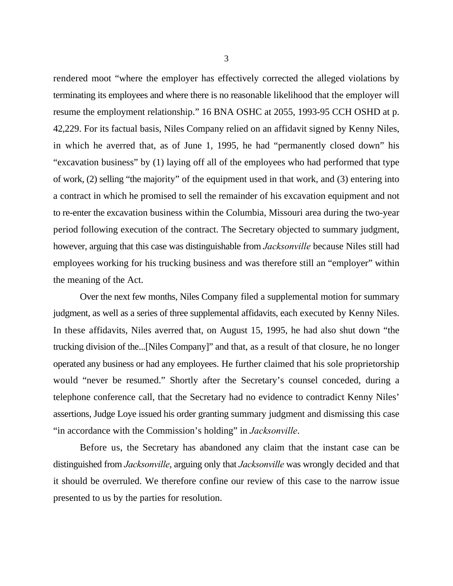rendered moot "where the employer has effectively corrected the alleged violations by terminating its employees and where there is no reasonable likelihood that the employer will resume the employment relationship." 16 BNA OSHC at 2055, 1993-95 CCH OSHD at p. 42,229. For its factual basis, Niles Company relied on an affidavit signed by Kenny Niles, in which he averred that, as of June 1, 1995, he had "permanently closed down" his "excavation business" by (1) laying off all of the employees who had performed that type of work, (2) selling "the majority" of the equipment used in that work, and (3) entering into a contract in which he promised to sell the remainder of his excavation equipment and not to re-enter the excavation business within the Columbia, Missouri area during the two-year period following execution of the contract. The Secretary objected to summary judgment, however, arguing that this case was distinguishable from *Jacksonville* because Niles still had employees working for his trucking business and was therefore still an "employer" within the meaning of the Act.

Over the next few months, Niles Company filed a supplemental motion for summary judgment, as well as a series of three supplemental affidavits, each executed by Kenny Niles. In these affidavits, Niles averred that, on August 15, 1995, he had also shut down "the trucking division of the...[Niles Company]" and that, as a result of that closure, he no longer operated any business or had any employees. He further claimed that his sole proprietorship would "never be resumed." Shortly after the Secretary's counsel conceded, during a telephone conference call, that the Secretary had no evidence to contradict Kenny Niles' assertions, Judge Loye issued his order granting summary judgment and dismissing this case "in accordance with the Commission's holding" in *Jacksonville*.

Before us, the Secretary has abandoned any claim that the instant case can be distinguished from *Jacksonville*, arguing only that *Jacksonville* was wrongly decided and that it should be overruled. We therefore confine our review of this case to the narrow issue presented to us by the parties for resolution.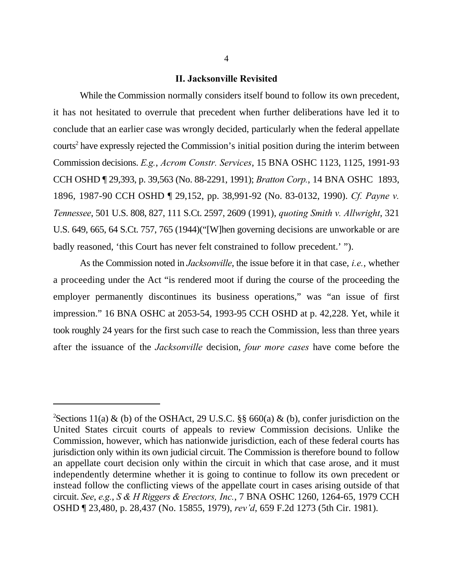## **II. Jacksonville Revisited**

While the Commission normally considers itself bound to follow its own precedent, it has not hesitated to overrule that precedent when further deliberations have led it to conclude that an earlier case was wrongly decided, particularly when the federal appellate  $counts<sup>2</sup>$  have expressly rejected the Commission's initial position during the interim between Commission decisions. *E.g.*, *Acrom Constr. Services*, 15 BNA OSHC 1123, 1125, 1991-93 CCH OSHD ¶ 29,393, p. 39,563 (No. 88-2291, 1991); *Bratton Corp.*, 14 BNA OSHC 1893, 1896, 1987-90 CCH OSHD ¶ 29,152, pp. 38,991-92 (No. 83-0132, 1990). *Cf. Payne v. Tennessee*, 501 U.S. 808, 827, 111 S.Ct. 2597, 2609 (1991), *quoting Smith v. Allwright*, 321 U.S. 649, 665, 64 S.Ct. 757, 765 (1944)("[W]hen governing decisions are unworkable or are badly reasoned, 'this Court has never felt constrained to follow precedent.' ").

As the Commission noted in *Jacksonville*, the issue before it in that case, *i.e.*, whether a proceeding under the Act "is rendered moot if during the course of the proceeding the employer permanently discontinues its business operations," was "an issue of first impression." 16 BNA OSHC at 2053-54, 1993-95 CCH OSHD at p. 42,228. Yet, while it took roughly 24 years for the first such case to reach the Commission, less than three years after the issuance of the *Jacksonville* decision, *four more cases* have come before the

<sup>&</sup>lt;sup>2</sup>Sections 11(a) & (b) of the OSHAct, 29 U.S.C. §§ 660(a) & (b), confer jurisdiction on the United States circuit courts of appeals to review Commission decisions. Unlike the Commission, however, which has nationwide jurisdiction, each of these federal courts has jurisdiction only within its own judicial circuit. The Commission is therefore bound to follow an appellate court decision only within the circuit in which that case arose, and it must independently determine whether it is going to continue to follow its own precedent or instead follow the conflicting views of the appellate court in cases arising outside of that circuit. *See*, *e.g.*, *S & H Riggers & Erectors, Inc.*, 7 BNA OSHC 1260, 1264-65, 1979 CCH OSHD ¶ 23,480, p. 28,437 (No. 15855, 1979), *rev'd*, 659 F.2d 1273 (5th Cir. 1981).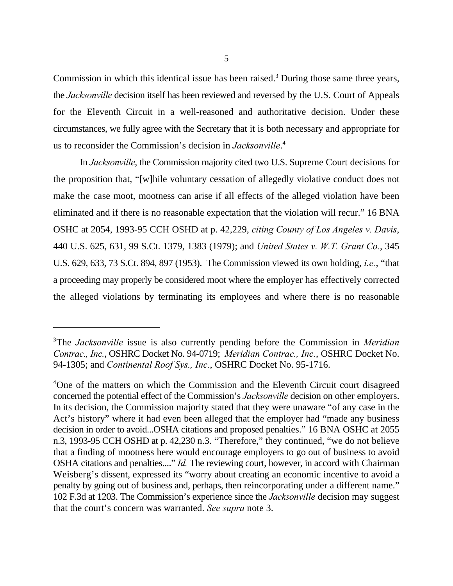Commission in which this identical issue has been raised.<sup>3</sup> During those same three years, the *Jacksonville* decision itself has been reviewed and reversed by the U.S. Court of Appeals for the Eleventh Circuit in a well-reasoned and authoritative decision. Under these circumstances, we fully agree with the Secretary that it is both necessary and appropriate for us to reconsider the Commission's decision in *Jacksonville*. 4

In *Jacksonville*, the Commission majority cited two U.S. Supreme Court decisions for the proposition that, "[w]hile voluntary cessation of allegedly violative conduct does not make the case moot, mootness can arise if all effects of the alleged violation have been eliminated and if there is no reasonable expectation that the violation will recur." 16 BNA OSHC at 2054, 1993-95 CCH OSHD at p. 42,229, *citing County of Los Angeles v. Davis*, 440 U.S. 625, 631, 99 S.Ct. 1379, 1383 (1979); and *United States v. W.T. Grant Co.*, 345 U.S. 629, 633, 73 S.Ct. 894, 897 (1953). The Commission viewed its own holding, *i.e.*, "that a proceeding may properly be considered moot where the employer has effectively corrected the alleged violations by terminating its employees and where there is no reasonable

<sup>&</sup>lt;sup>3</sup>The *Jacksonville* issue is also currently pending before the Commission in *Meridian Contrac., Inc.*, OSHRC Docket No. 94-0719; *Meridian Contrac., Inc.*, OSHRC Docket No. 94-1305; and *Continental Roof Sys., Inc.*, OSHRC Docket No. 95-1716.

<sup>&</sup>lt;sup>4</sup>One of the matters on which the Commission and the Eleventh Circuit court disagreed concerned the potential effect of the Commission's *Jacksonville* decision on other employers. In its decision, the Commission majority stated that they were unaware "of any case in the Act's history" where it had even been alleged that the employer had "made any business decision in order to avoid...OSHA citations and proposed penalties." 16 BNA OSHC at 2055 n.3, 1993-95 CCH OSHD at p. 42,230 n.3. "Therefore," they continued, "we do not believe that a finding of mootness here would encourage employers to go out of business to avoid OSHA citations and penalties...." *Id.* The reviewing court, however, in accord with Chairman Weisberg's dissent, expressed its "worry about creating an economic incentive to avoid a penalty by going out of business and, perhaps, then reincorporating under a different name." 102 F.3d at 1203. The Commission's experience since the *Jacksonville* decision may suggest that the court's concern was warranted. *See supra* note 3.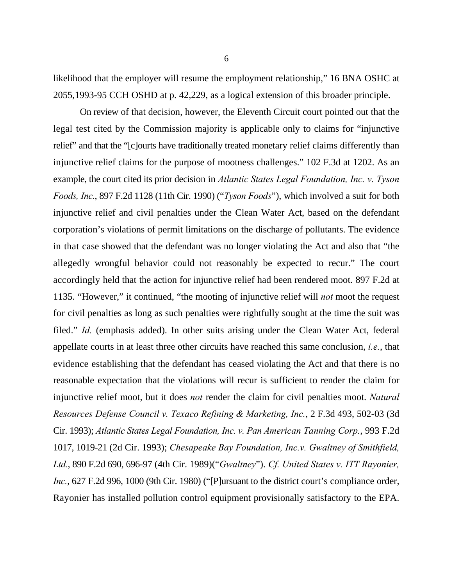likelihood that the employer will resume the employment relationship," 16 BNA OSHC at 2055,1993-95 CCH OSHD at p. 42,229, as a logical extension of this broader principle.

On review of that decision, however, the Eleventh Circuit court pointed out that the legal test cited by the Commission majority is applicable only to claims for "injunctive relief" and that the "[c]ourts have traditionally treated monetary relief claims differently than injunctive relief claims for the purpose of mootness challenges." 102 F.3d at 1202. As an example, the court cited its prior decision in *Atlantic States Legal Foundation, Inc. v. Tyson Foods, Inc.*, 897 F.2d 1128 (11th Cir. 1990) ("*Tyson Foods*"), which involved a suit for both injunctive relief and civil penalties under the Clean Water Act, based on the defendant corporation's violations of permit limitations on the discharge of pollutants. The evidence in that case showed that the defendant was no longer violating the Act and also that "the allegedly wrongful behavior could not reasonably be expected to recur." The court accordingly held that the action for injunctive relief had been rendered moot. 897 F.2d at 1135. "However," it continued, "the mooting of injunctive relief will *not* moot the request for civil penalties as long as such penalties were rightfully sought at the time the suit was filed." *Id.* (emphasis added). In other suits arising under the Clean Water Act, federal appellate courts in at least three other circuits have reached this same conclusion, *i.e.*, that evidence establishing that the defendant has ceased violating the Act and that there is no reasonable expectation that the violations will recur is sufficient to render the claim for injunctive relief moot, but it does *not* render the claim for civil penalties moot. *Natural Resources Defense Council v. Texaco Refining & Marketing, Inc.*, 2 F.3d 493, 502-03 (3d Cir. 1993); *Atlantic States Legal Foundation, Inc. v. Pan American Tanning Corp.*, 993 F.2d 1017, 1019-21 (2d Cir. 1993); *Chesapeake Bay Foundation, Inc.v. Gwaltney of Smithfield, Ltd.*, 890 F.2d 690, 696-97 (4th Cir. 1989)("*Gwaltney*"). *Cf. United States v. ITT Rayonier, Inc.*, 627 F.2d 996, 1000 (9th Cir. 1980) ("[P]ursuant to the district court's compliance order, Rayonier has installed pollution control equipment provisionally satisfactory to the EPA.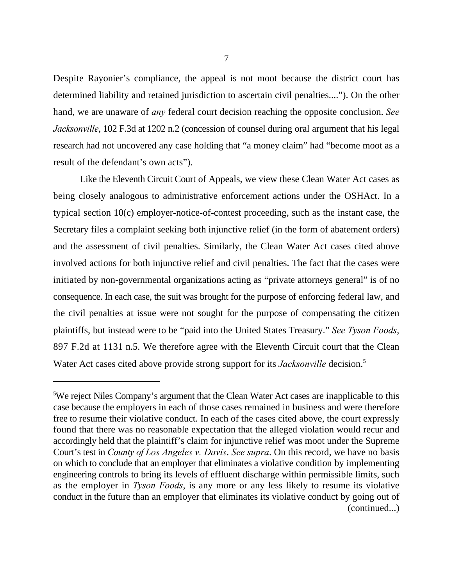Despite Rayonier's compliance, the appeal is not moot because the district court has determined liability and retained jurisdiction to ascertain civil penalties...."). On the other hand, we are unaware of *any* federal court decision reaching the opposite conclusion. *See Jacksonville*, 102 F.3d at 1202 n.2 (concession of counsel during oral argument that his legal research had not uncovered any case holding that "a money claim" had "become moot as a result of the defendant's own acts").

Like the Eleventh Circuit Court of Appeals, we view these Clean Water Act cases as being closely analogous to administrative enforcement actions under the OSHAct. In a typical section 10(c) employer-notice-of-contest proceeding, such as the instant case, the Secretary files a complaint seeking both injunctive relief (in the form of abatement orders) and the assessment of civil penalties. Similarly, the Clean Water Act cases cited above involved actions for both injunctive relief and civil penalties. The fact that the cases were initiated by non-governmental organizations acting as "private attorneys general" is of no consequence. In each case, the suit was brought for the purpose of enforcing federal law, and the civil penalties at issue were not sought for the purpose of compensating the citizen plaintiffs, but instead were to be "paid into the United States Treasury." *See Tyson Foods*, 897 F.2d at 1131 n.5. We therefore agree with the Eleventh Circuit court that the Clean Water Act cases cited above provide strong support for its *Jacksonville* decision.<sup>5</sup>

<sup>&</sup>lt;sup>5</sup>We reject Niles Company's argument that the Clean Water Act cases are inapplicable to this case because the employers in each of those cases remained in business and were therefore free to resume their violative conduct. In each of the cases cited above, the court expressly found that there was no reasonable expectation that the alleged violation would recur and accordingly held that the plaintiff's claim for injunctive relief was moot under the Supreme Court's test in *County of Los Angeles v. Davis*. *See supra*. On this record, we have no basis on which to conclude that an employer that eliminates a violative condition by implementing engineering controls to bring its levels of effluent discharge within permissible limits, such as the employer in *Tyson Foods*, is any more or any less likely to resume its violative conduct in the future than an employer that eliminates its violative conduct by going out of (continued...)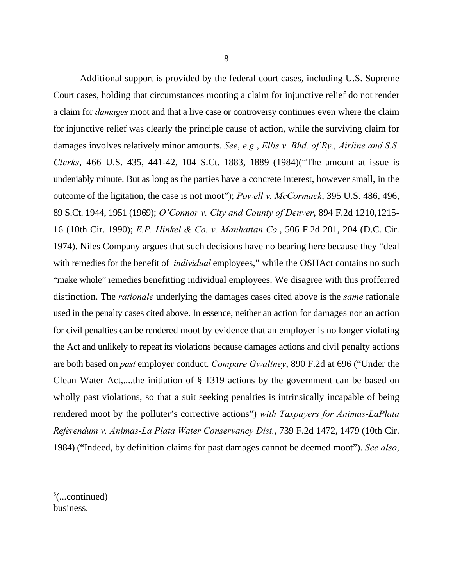Additional support is provided by the federal court cases, including U.S. Supreme Court cases, holding that circumstances mooting a claim for injunctive relief do not render a claim for *damages* moot and that a live case or controversy continues even where the claim for injunctive relief was clearly the principle cause of action, while the surviving claim for damages involves relatively minor amounts. *See*, *e.g.*, *Ellis v. Bhd. of Ry., Airline and S.S. Clerks*, 466 U.S. 435, 441-42, 104 S.Ct. 1883, 1889 (1984)("The amount at issue is undeniably minute. But as long as the parties have a concrete interest, however small, in the outcome of the ligitation, the case is not moot"); *Powell v. McCormack*, 395 U.S. 486, 496, 89 S.Ct. 1944, 1951 (1969); *O'Connor v. City and County of Denver*, 894 F.2d 1210,1215- 16 (10th Cir. 1990); *E.P. Hinkel & Co. v. Manhattan Co.*, 506 F.2d 201, 204 (D.C. Cir. 1974). Niles Company argues that such decisions have no bearing here because they "deal with remedies for the benefit of *individual* employees," while the OSHAct contains no such "make whole" remedies benefitting individual employees. We disagree with this profferred distinction. The *rationale* underlying the damages cases cited above is the *same* rationale used in the penalty cases cited above. In essence, neither an action for damages nor an action for civil penalties can be rendered moot by evidence that an employer is no longer violating the Act and unlikely to repeat its violations because damages actions and civil penalty actions are both based on *past* employer conduct. *Compare Gwaltney*, 890 F.2d at 696 ("Under the Clean Water Act,....the initiation of § 1319 actions by the government can be based on wholly past violations, so that a suit seeking penalties is intrinsically incapable of being rendered moot by the polluter's corrective actions") *with Taxpayers for Animas-LaPlata Referendum v. Animas-La Plata Water Conservancy Dist.*, 739 F.2d 1472, 1479 (10th Cir. 1984) ("Indeed, by definition claims for past damages cannot be deemed moot"). *See also*,

 $5$ (...continued) business.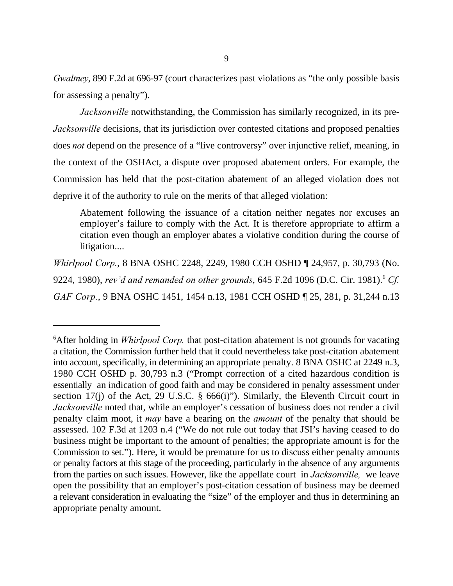*Gwaltney*, 890 F.2d at 696-97 (court characterizes past violations as "the only possible basis for assessing a penalty").

*Jacksonville* notwithstanding, the Commission has similarly recognized, in its pre-*Jacksonville* decisions, that its jurisdiction over contested citations and proposed penalties does *not* depend on the presence of a "live controversy" over injunctive relief, meaning, in the context of the OSHAct, a dispute over proposed abatement orders. For example, the Commission has held that the post-citation abatement of an alleged violation does not deprive it of the authority to rule on the merits of that alleged violation:

Abatement following the issuance of a citation neither negates nor excuses an employer's failure to comply with the Act. It is therefore appropriate to affirm a citation even though an employer abates a violative condition during the course of litigation....

*Whirlpool Corp.*, 8 BNA OSHC 2248, 2249, 1980 CCH OSHD ¶ 24,957, p. 30,793 (No. 9224, 1980), *rev'd and remanded on other grounds*, 645 F.2d 1096 (D.C. Cir. 1981). *Cf.* <sup>6</sup> *GAF Corp.*, 9 BNA OSHC 1451, 1454 n.13, 1981 CCH OSHD ¶ 25, 281, p. 31,244 n.13

<sup>&</sup>lt;sup>6</sup>After holding in *Whirlpool Corp*. that post-citation abatement is not grounds for vacating a citation, the Commission further held that it could nevertheless take post-citation abatement into account, specifically, in determining an appropriate penalty. 8 BNA OSHC at 2249 n.3, 1980 CCH OSHD p. 30,793 n.3 ("Prompt correction of a cited hazardous condition is essentially an indication of good faith and may be considered in penalty assessment under section 17(j) of the Act, 29 U.S.C.  $\S$  666(i)"). Similarly, the Eleventh Circuit court in *Jacksonville* noted that, while an employer's cessation of business does not render a civil penalty claim moot, it *may* have a bearing on the *amount* of the penalty that should be assessed. 102 F.3d at 1203 n.4 ("We do not rule out today that JSI's having ceased to do business might be important to the amount of penalties; the appropriate amount is for the Commission to set."). Here, it would be premature for us to discuss either penalty amounts or penalty factors at this stage of the proceeding, particularly in the absence of any arguments from the parties on such issues. However, like the appellate court in *Jacksonville,* we leave open the possibility that an employer's post-citation cessation of business may be deemed a relevant consideration in evaluating the "size" of the employer and thus in determining an appropriate penalty amount.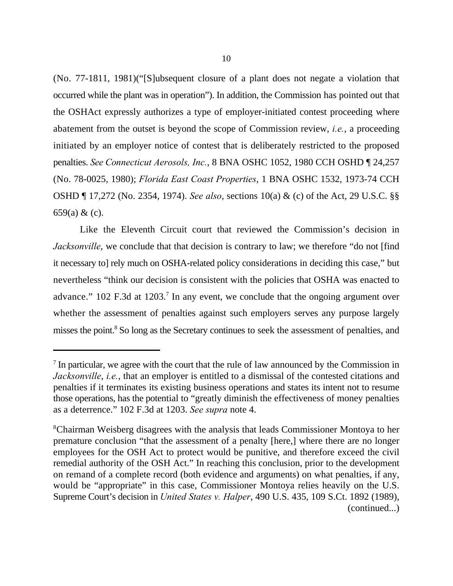(No. 77-1811, 1981)("[S]ubsequent closure of a plant does not negate a violation that occurred while the plant was in operation"). In addition, the Commission has pointed out that the OSHAct expressly authorizes a type of employer-initiated contest proceeding where abatement from the outset is beyond the scope of Commission review, *i.e.*, a proceeding initiated by an employer notice of contest that is deliberately restricted to the proposed penalties. *See Connecticut Aerosols, Inc.*, 8 BNA OSHC 1052, 1980 CCH OSHD ¶ 24,257 (No. 78-0025, 1980); *Florida East Coast Properties*, 1 BNA OSHC 1532, 1973-74 CCH OSHD ¶ 17,272 (No. 2354, 1974). *See also*, sections 10(a) & (c) of the Act, 29 U.S.C. §§ 659(a) & (c).

Like the Eleventh Circuit court that reviewed the Commission's decision in *Jacksonville*, we conclude that that decision is contrary to law; we therefore "do not [find] it necessary to] rely much on OSHA-related policy considerations in deciding this case," but nevertheless "think our decision is consistent with the policies that OSHA was enacted to advance."  $102$  F.3d at  $1203$ .<sup>7</sup> In any event, we conclude that the ongoing argument over whether the assessment of penalties against such employers serves any purpose largely misses the point.<sup>8</sup> So long as the Secretary continues to seek the assessment of penalties, and

 $\frac{7}{1}$  In particular, we agree with the court that the rule of law announced by the Commission in *Jacksonville*, *i.e.*, that an employer is entitled to a dismissal of the contested citations and penalties if it terminates its existing business operations and states its intent not to resume those operations, has the potential to "greatly diminish the effectiveness of money penalties as a deterrence." 102 F.3d at 1203. *See supra* note 4.

<sup>&</sup>lt;sup>8</sup>Chairman Weisberg disagrees with the analysis that leads Commissioner Montoya to her premature conclusion "that the assessment of a penalty [here,] where there are no longer employees for the OSH Act to protect would be punitive, and therefore exceed the civil remedial authority of the OSH Act." In reaching this conclusion, prior to the development on remand of a complete record (both evidence and arguments) on what penalties, if any, would be "appropriate" in this case, Commissioner Montoya relies heavily on the U.S. Supreme Court's decision in *United States v. Halper*, 490 U.S. 435, 109 S.Ct. 1892 (1989), (continued...)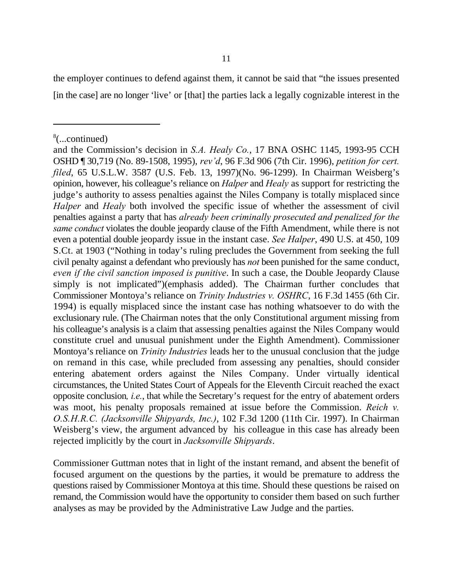the employer continues to defend against them, it cannot be said that "the issues presented [in the case] are no longer 'live' or [that] the parties lack a legally cognizable interest in the

Commissioner Guttman notes that in light of the instant remand, and absent the benefit of focused argument on the questions by the parties, it would be premature to address the questions raised by Commissioner Montoya at this time. Should these questions be raised on remand, the Commission would have the opportunity to consider them based on such further analyses as may be provided by the Administrative Law Judge and the parties.

 $\frac{8}{2}$ ...continued)

and the Commission's decision in *S.A. Healy Co.*, 17 BNA OSHC 1145, 1993-95 CCH OSHD ¶ 30,719 (No. 89-1508, 1995), *rev'd*, 96 F.3d 906 (7th Cir. 1996), *petition for cert. filed*, 65 U.S.L.W. 3587 (U.S. Feb. 13, 1997)(No. 96-1299). In Chairman Weisberg's opinion, however, his colleague's reliance on *Halper* and *Healy* as support for restricting the judge's authority to assess penalties against the Niles Company is totally misplaced since *Halper* and *Healy* both involved the specific issue of whether the assessment of civil penalties against a party that has *already been criminally prosecuted and penalized for the same conduct* violates the double jeopardy clause of the Fifth Amendment, while there is not even a potential double jeopardy issue in the instant case. *See Halper*, 490 U.S. at 450, 109 S.Ct. at 1903 ("Nothing in today's ruling precludes the Government from seeking the full civil penalty against a defendant who previously has *not* been punished for the same conduct, *even if the civil sanction imposed is punitive*. In such a case, the Double Jeopardy Clause simply is not implicated")(emphasis added). The Chairman further concludes that Commissioner Montoya's reliance on *Trinity Industries v. OSHRC*, 16 F.3d 1455 (6th Cir. 1994) is equally misplaced since the instant case has nothing whatsoever to do with the exclusionary rule. (The Chairman notes that the only Constitutional argument missing from his colleague's analysis is a claim that assessing penalties against the Niles Company would constitute cruel and unusual punishment under the Eighth Amendment). Commissioner Montoya's reliance on *Trinity Industries* leads her to the unusual conclusion that the judge on remand in this case, while precluded from assessing any penalties, should consider entering abatement orders against the Niles Company. Under virtually identical circumstances, the United States Court of Appeals for the Eleventh Circuit reached the exact opposite conclusion*, i.e.*, that while the Secretary's request for the entry of abatement orders was moot, his penalty proposals remained at issue before the Commission. *Reich v. O.S.H.R.C. (Jacksonville Shipyards, Inc.)*, 102 F.3d 1200 (11th Cir. 1997). In Chairman Weisberg's view, the argument advanced by his colleague in this case has already been rejected implicitly by the court in *Jacksonville Shipyards*.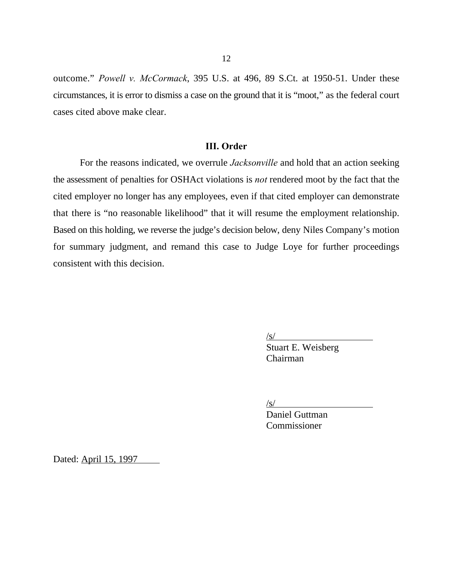outcome." *Powell v. McCormack*, 395 U.S. at 496, 89 S.Ct. at 1950-51. Under these circumstances, it is error to dismiss a case on the ground that it is "moot," as the federal court cases cited above make clear.

## **III. Order**

For the reasons indicated, we overrule *Jacksonville* and hold that an action seeking the assessment of penalties for OSHAct violations is *not* rendered moot by the fact that the cited employer no longer has any employees, even if that cited employer can demonstrate that there is "no reasonable likelihood" that it will resume the employment relationship. Based on this holding, we reverse the judge's decision below, deny Niles Company's motion for summary judgment, and remand this case to Judge Loye for further proceedings consistent with this decision.

 $\sqrt{s}$ /

Stuart E. Weisberg Chairman

/s/

Daniel Guttman **Commissioner** 

Dated: April 15, 1997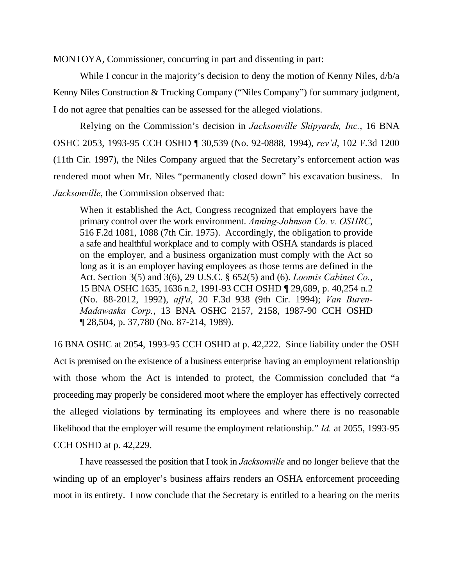MONTOYA, Commissioner, concurring in part and dissenting in part:

While I concur in the majority's decision to deny the motion of Kenny Niles,  $d/b/a$ Kenny Niles Construction & Trucking Company ("Niles Company") for summary judgment, I do not agree that penalties can be assessed for the alleged violations.

Relying on the Commission's decision in *Jacksonville Shipyards, Inc.*, 16 BNA OSHC 2053, 1993-95 CCH OSHD ¶ 30,539 (No. 92-0888, 1994), *rev'd*, 102 F.3d 1200 (11th Cir. 1997), the Niles Company argued that the Secretary's enforcement action was rendered moot when Mr. Niles "permanently closed down" his excavation business. In *Jacksonville*, the Commission observed that:

When it established the Act, Congress recognized that employers have the primary control over the work environment. *Anning-Johnson Co. v. OSHRC*, 516 F.2d 1081, 1088 (7th Cir. 1975). Accordingly, the obligation to provide a safe and healthful workplace and to comply with OSHA standards is placed on the employer, and a business organization must comply with the Act so long as it is an employer having employees as those terms are defined in the Act. Section 3(5) and 3(6), 29 U.S.C. § 652(5) and (6). *Loomis Cabinet Co.*, 15 BNA OSHC 1635, 1636 n.2, 1991-93 CCH OSHD ¶ 29,689, p. 40,254 n.2 (No. 88-2012, 1992), *aff'd*, 20 F.3d 938 (9th Cir. 1994); *Van Buren-Madawaska Corp.*, 13 BNA OSHC 2157, 2158, 1987-90 CCH OSHD ¶ 28,504, p. 37,780 (No. 87-214, 1989).

16 BNA OSHC at 2054, 1993-95 CCH OSHD at p. 42,222. Since liability under the OSH Act is premised on the existence of a business enterprise having an employment relationship with those whom the Act is intended to protect, the Commission concluded that "a proceeding may properly be considered moot where the employer has effectively corrected the alleged violations by terminating its employees and where there is no reasonable likelihood that the employer will resume the employment relationship." *Id.* at 2055, 1993-95 CCH OSHD at p. 42,229.

I have reassessed the position that I took in *Jacksonville* and no longer believe that the winding up of an employer's business affairs renders an OSHA enforcement proceeding moot in its entirety. I now conclude that the Secretary is entitled to a hearing on the merits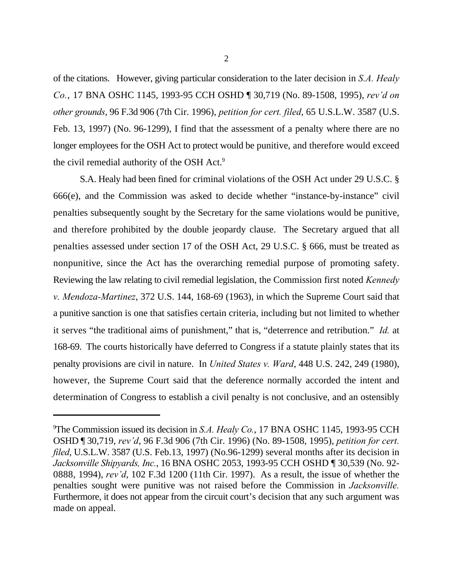of the citations. However, giving particular consideration to the later decision in *S.A. Healy Co.*, 17 BNA OSHC 1145, 1993-95 CCH OSHD ¶ 30,719 (No. 89-1508, 1995), *rev'd on other grounds*, 96 F.3d 906 (7th Cir. 1996), *petition for cert. filed*, 65 U.S.L.W. 3587 (U.S. Feb. 13, 1997) (No. 96-1299), I find that the assessment of a penalty where there are no longer employees for the OSH Act to protect would be punitive, and therefore would exceed the civil remedial authority of the OSH Act.<sup>9</sup>

S.A. Healy had been fined for criminal violations of the OSH Act under 29 U.S.C. § 666(e), and the Commission was asked to decide whether "instance-by-instance" civil penalties subsequently sought by the Secretary for the same violations would be punitive, and therefore prohibited by the double jeopardy clause. The Secretary argued that all penalties assessed under section 17 of the OSH Act, 29 U.S.C. § 666, must be treated as nonpunitive, since the Act has the overarching remedial purpose of promoting safety. Reviewing the law relating to civil remedial legislation, the Commission first noted *Kennedy v. Mendoza-Martinez*, 372 U.S. 144, 168-69 (1963), in which the Supreme Court said that a punitive sanction is one that satisfies certain criteria, including but not limited to whether it serves "the traditional aims of punishment," that is, "deterrence and retribution." *Id.* at 168-69. The courts historically have deferred to Congress if a statute plainly states that its penalty provisions are civil in nature. In *United States v. Ward*, 448 U.S. 242, 249 (1980), however, the Supreme Court said that the deference normally accorded the intent and determination of Congress to establish a civil penalty is not conclusive, and an ostensibly

<sup>&</sup>lt;sup>9</sup>The Commission issued its decision in *S.A. Healy Co.*, 17 BNA OSHC 1145, 1993-95 CCH OSHD ¶ 30,719, *rev'd*, 96 F.3d 906 (7th Cir. 1996) (No. 89-1508, 1995), *petition for cert. filed*, U.S.L.W. 3587 (U.S. Feb.13, 1997) (No.96-1299) several months after its decision in *Jacksonville Shipyards, Inc.*, 16 BNA OSHC 2053, 1993-95 CCH OSHD ¶ 30,539 (No. 92- 0888, 1994), *rev'd*, 102 F.3d 1200 (11th Cir. 1997). As a result, the issue of whether the penalties sought were punitive was not raised before the Commission in *Jacksonville.* Furthermore, it does not appear from the circuit court's decision that any such argument was made on appeal.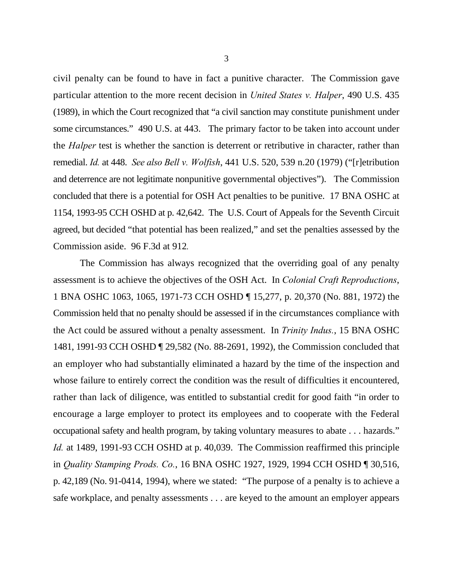civil penalty can be found to have in fact a punitive character. The Commission gave particular attention to the more recent decision in *United States v. Halper*, 490 U.S. 435 (1989), in which the Court recognized that "a civil sanction may constitute punishment under some circumstances." 490 U.S. at 443. The primary factor to be taken into account under the *Halper* test is whether the sanction is deterrent or retributive in character, rather than remedial. *Id.* at 448. *See also Bell v. Wolfish*, 441 U.S. 520, 539 n.20 (1979) ("[r]etribution and deterrence are not legitimate nonpunitive governmental objectives"). The Commission concluded that there is a potential for OSH Act penalties to be punitive. 17 BNA OSHC at 1154, 1993-95 CCH OSHD at p. 42,642. The U.S. Court of Appeals for the Seventh Circuit agreed, but decided "that potential has been realized," and set the penalties assessed by the Commission aside. 96 F.3d at 912*.*

The Commission has always recognized that the overriding goal of any penalty assessment is to achieve the objectives of the OSH Act. In *Colonial Craft Reproductions*, 1 BNA OSHC 1063, 1065, 1971-73 CCH OSHD ¶ 15,277, p. 20,370 (No. 881, 1972) the Commission held that no penalty should be assessed if in the circumstances compliance with the Act could be assured without a penalty assessment. In *Trinity Indus.*, 15 BNA OSHC 1481, 1991-93 CCH OSHD ¶ 29,582 (No. 88-2691, 1992), the Commission concluded that an employer who had substantially eliminated a hazard by the time of the inspection and whose failure to entirely correct the condition was the result of difficulties it encountered, rather than lack of diligence, was entitled to substantial credit for good faith "in order to encourage a large employer to protect its employees and to cooperate with the Federal occupational safety and health program, by taking voluntary measures to abate . . . hazards." *Id.* at 1489, 1991-93 CCH OSHD at p. 40,039. The Commission reaffirmed this principle in *Quality Stamping Prods. Co.*, 16 BNA OSHC 1927, 1929, 1994 CCH OSHD ¶ 30,516, p. 42,189 (No. 91-0414, 1994), where we stated: "The purpose of a penalty is to achieve a safe workplace, and penalty assessments . . . are keyed to the amount an employer appears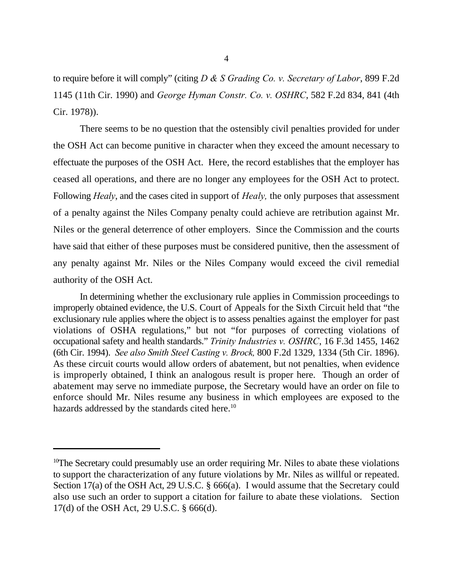to require before it will comply" (citing *D & S Grading Co. v. Secretary of Labor*, 899 F.2d 1145 (11th Cir. 1990) and *George Hyman Constr. Co. v. OSHRC*, 582 F.2d 834, 841 (4th Cir. 1978)).

There seems to be no question that the ostensibly civil penalties provided for under the OSH Act can become punitive in character when they exceed the amount necessary to effectuate the purposes of the OSH Act. Here, the record establishes that the employer has ceased all operations, and there are no longer any employees for the OSH Act to protect. Following *Healy*, and the cases cited in support of *Healy,* the only purposes that assessment of a penalty against the Niles Company penalty could achieve are retribution against Mr. Niles or the general deterrence of other employers. Since the Commission and the courts have said that either of these purposes must be considered punitive, then the assessment of any penalty against Mr. Niles or the Niles Company would exceed the civil remedial authority of the OSH Act.

In determining whether the exclusionary rule applies in Commission proceedings to improperly obtained evidence, the U.S. Court of Appeals for the Sixth Circuit held that "the exclusionary rule applies where the object is to assess penalties against the employer for past violations of OSHA regulations," but not "for purposes of correcting violations of occupational safety and health standards." *Trinity Industries v. OSHRC*, 16 F.3d 1455, 1462 (6th Cir. 1994). *See also Smith Steel Casting v. Brock,* 800 F.2d 1329, 1334 (5th Cir. 1896). As these circuit courts would allow orders of abatement, but not penalties, when evidence is improperly obtained, I think an analogous result is proper here. Though an order of abatement may serve no immediate purpose, the Secretary would have an order on file to enforce should Mr. Niles resume any business in which employees are exposed to the hazards addressed by the standards cited here.<sup>10</sup>

<sup>&</sup>lt;sup>10</sup>The Secretary could presumably use an order requiring Mr. Niles to abate these violations to support the characterization of any future violations by Mr. Niles as willful or repeated. Section 17(a) of the OSH Act, 29 U.S.C. § 666(a). I would assume that the Secretary could also use such an order to support a citation for failure to abate these violations. Section 17(d) of the OSH Act, 29 U.S.C. § 666(d).